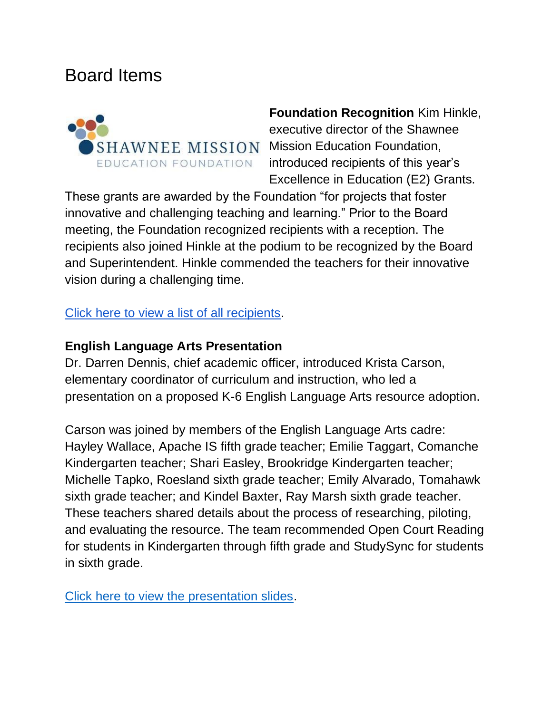## Board Items



**Foundation Recognition** Kim Hinkle, executive director of the Shawnee  $SHAWNEE$   $MISSION$  Mission Education Foundation, introduced recipients of this year's Excellence in Education (E2) Grants.

These grants are awarded by the Foundation "for projects that foster innovative and challenging teaching and learning." Prior to the Board meeting, the Foundation recognized recipients with a reception. The recipients also joined Hinkle at the podium to be recognized by the Board and Superintendent. Hinkle commended the teachers for their innovative vision during a challenging time.

[Click here to view a list of all recipients.](https://smsdorg.finalsite.com/fs/resource-manager/view/4bc7b239-9cb7-4bdc-beb8-517859107137)

## **English Language Arts Presentation**

Dr. Darren Dennis, chief academic officer, introduced Krista Carson, elementary coordinator of curriculum and instruction, who led a presentation on a proposed K-6 English Language Arts resource adoption.

Carson was joined by members of the English Language Arts cadre: Hayley Wallace, Apache IS fifth grade teacher; Emilie Taggart, Comanche Kindergarten teacher; Shari Easley, Brookridge Kindergarten teacher; Michelle Tapko, Roesland sixth grade teacher; Emily Alvarado, Tomahawk sixth grade teacher; and Kindel Baxter, Ray Marsh sixth grade teacher. These teachers shared details about the process of researching, piloting, and evaluating the resource. The team recommended Open Court Reading for students in Kindergarten through fifth grade and StudySync for students in sixth grade.

[Click here to view the presentation slides.](https://go.boarddocs.com/ks/smsd/Board.nsf/files/CCCKG251BAB3/$file/2022.BOE%20Proposal.K-6%20ELA%20Resource%20Adoption.pdf)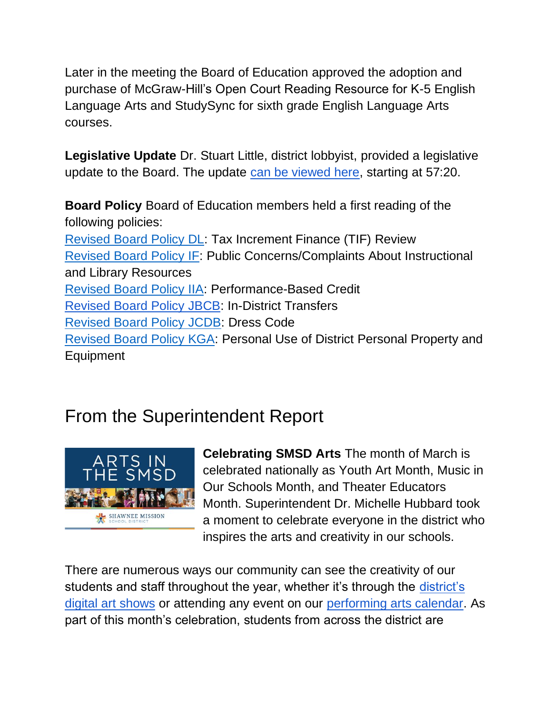Later in the meeting the Board of Education approved the adoption and purchase of McGraw-Hill's Open Court Reading Resource for K-5 English Language Arts and StudySync for sixth grade English Language Arts courses.

**Legislative Update** Dr. Stuart Little, district lobbyist, provided a legislative update to the Board. The update [can be viewed here,](https://youtu.be/zodmDjODIW8) starting at 57:20.

**Board Policy** Board of Education members held a first reading of the following policies: [Revised Board Policy DL:](http://go.boarddocs.com/ks/smsd/Board.nsf/goto?open&id=CCBL7U553ACF) Tax Increment Finance (TIF) Review [Revised Board Policy IF:](http://go.boarddocs.com/ks/smsd/Board.nsf/goto?open&id=CCBL7V553C21) Public Concerns/Complaints About Instructional and Library Resources [Revised Board Policy IIA:](http://go.boarddocs.com/ks/smsd/Board.nsf/goto?open&id=CCBL7W553CC2) Performance-Based Credit [Revised Board Policy JBCB:](http://go.boarddocs.com/ks/smsd/Board.nsf/goto?open&id=CCBL7X553D8C) In-District Transfers [Revised Board Policy JCDB:](http://go.boarddocs.com/ks/smsd/Board.nsf/goto?open&id=CCBL7Y553E6C) Dress Code [Revised Board Policy KGA:](http://go.boarddocs.com/ks/smsd/Board.nsf/goto?open&id=CCBL8H553F2F) Personal Use of District Personal Property and Equipment

## From the Superintendent Report



**Celebrating SMSD Arts** The month of March is celebrated nationally as Youth Art Month, Music in Our Schools Month, and Theater Educators Month. Superintendent Dr. Michelle Hubbard took a moment to celebrate everyone in the district who inspires the arts and creativity in our schools.

There are numerous ways our community can see the creativity of our students and staff throughout the year, whether it's through the district's [digital art shows](https://youtu.be/-1e15gK8f_k) or attending any event on our [performing arts calendar.](https://www.smsd.org/academics/curriculum-instruction/performing-arts/pa-calendar) As part of this month's celebration, students from across the district are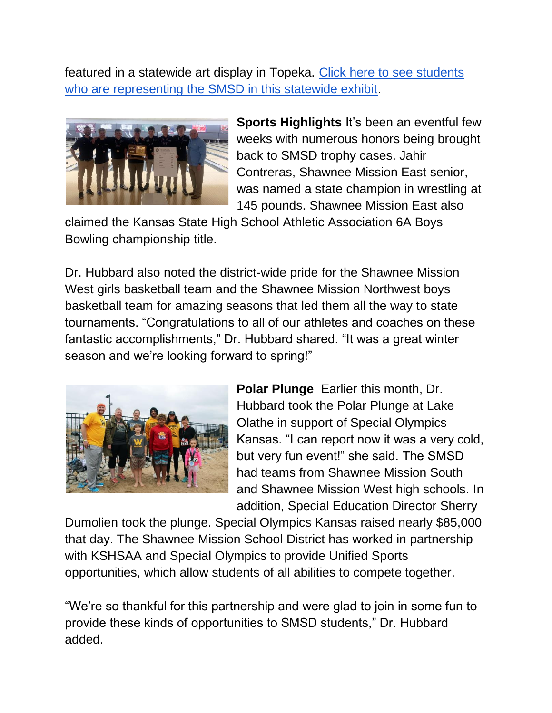featured in a statewide art display in Topeka. Click here to see students [who are representing the SMSD in this statewide exhibit.](https://www.smsd.org/about/news-archives/news-archive-details/~board/2021-2022-district-news/post/smsd-students-featured-in-youth-art-month-exhibit)



**Sports Highlights** It's been an eventful few weeks with numerous honors being brought back to SMSD trophy cases. Jahir Contreras, Shawnee Mission East senior, was named a state champion in wrestling at 145 pounds. Shawnee Mission East also

claimed the Kansas State High School Athletic Association 6A Boys Bowling championship title.

Dr. Hubbard also noted the district-wide pride for the Shawnee Mission West girls basketball team and the Shawnee Mission Northwest boys basketball team for amazing seasons that led them all the way to state tournaments. "Congratulations to all of our athletes and coaches on these fantastic accomplishments," Dr. Hubbard shared. "It was a great winter season and we're looking forward to spring!"



**Polar Plunge** Earlier this month, Dr. Hubbard took the Polar Plunge at Lake Olathe in support of Special Olympics Kansas. "I can report now it was a very cold, but very fun event!" she said. The SMSD had teams from Shawnee Mission South and Shawnee Mission West high schools. In addition, Special Education Director Sherry

Dumolien took the plunge. Special Olympics Kansas raised nearly \$85,000 that day. The Shawnee Mission School District has worked in partnership with KSHSAA and Special Olympics to provide Unified Sports opportunities, which allow students of all abilities to compete together.

"We're so thankful for this partnership and were glad to join in some fun to provide these kinds of opportunities to SMSD students," Dr. Hubbard added.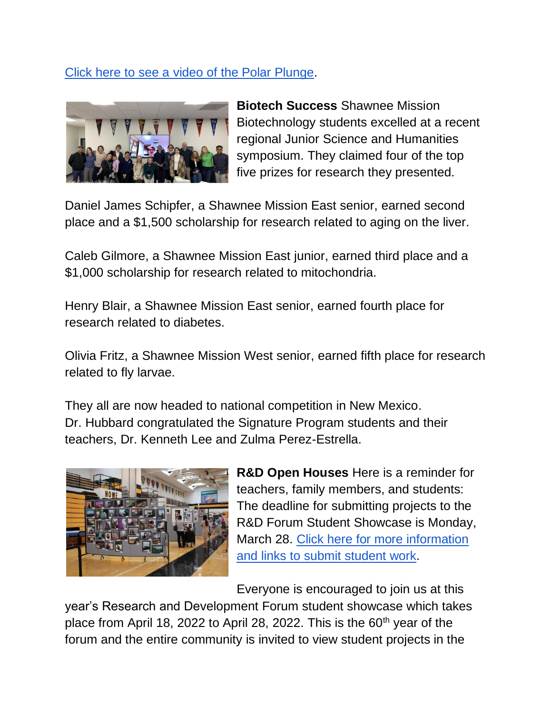## [Click here to see a video of the Polar Plunge.](https://youtu.be/sPdMtaGBZOY)



**Biotech Success** Shawnee Mission Biotechnology students excelled at a recent regional Junior Science and Humanities symposium. They claimed four of the top five prizes for research they presented.

Daniel James Schipfer, a Shawnee Mission East senior, earned second place and a \$1,500 scholarship for research related to aging on the liver.

Caleb Gilmore, a Shawnee Mission East junior, earned third place and a \$1,000 scholarship for research related to mitochondria.

Henry Blair, a Shawnee Mission East senior, earned fourth place for research related to diabetes.

Olivia Fritz, a Shawnee Mission West senior, earned fifth place for research related to fly larvae.

They all are now headed to national competition in New Mexico. Dr. Hubbard congratulated the Signature Program students and their teachers, Dr. Kenneth Lee and Zulma Perez-Estrella.



**R&D Open Houses** Here is a reminder for teachers, family members, and students: The deadline for submitting projects to the R&D Forum Student Showcase is Monday, March 28. [Click here for more information](https://www.smsd.org/academics/rd-forum/student-entry-information)  [and links to submit student work.](https://www.smsd.org/academics/rd-forum/student-entry-information)

Everyone is encouraged to join us at this

year's Research and Development Forum student showcase which takes place from April 18, 2022 to April 28, 2022. This is the 60<sup>th</sup> year of the forum and the entire community is invited to view student projects in the